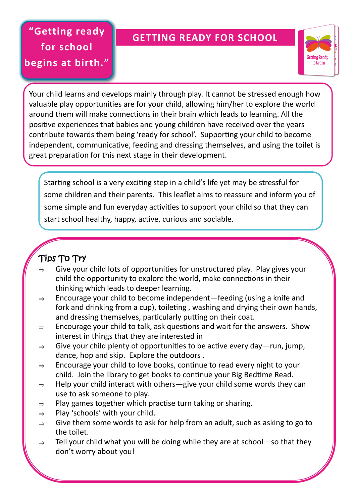# **"Getting ready for school begins at birth."**

# **GETTING READY FOR SCHOOL**



Your child learns and develops mainly through play. It cannot be stressed enough how valuable play opportunities are for your child, allowing him/her to explore the world around them will make connections in their brain which leads to learning. All the positive experiences that babies and young children have received over the years contribute towards them being 'ready for school'. Supporting your child to become independent, communicative, feeding and dressing themselves, and using the toilet is great preparation for this next stage in their development.

Starting school is a very exciting step in a child's life yet may be stressful for some children and their parents. This leaflet aims to reassure and inform you of some simple and fun everyday activities to support your child so that they can start school healthy, happy, active, curious and sociable.

# Tips To Try

- $\Rightarrow$  Give your child lots of opportunities for unstructured play. Play gives your child the opportunity to explore the world, make connections in their thinking which leads to deeper learning.
- $\Rightarrow$  Encourage your child to become independent—feeding (using a knife and fork and drinking from a cup), toileting , washing and drying their own hands, and dressing themselves, particularly putting on their coat.
- $\Rightarrow$  Encourage your child to talk, ask questions and wait for the answers. Show interest in things that they are interested in
- $\Rightarrow$  Give your child plenty of opportunities to be active every day—run, jump, dance, hop and skip. Explore the outdoors .
- $\Rightarrow$  Encourage your child to love books, continue to read every night to your child. Join the library to get books to continue your Big Bedtime Read.
- $\Rightarrow$  Help your child interact with others—give your child some words they can use to ask someone to play.
- $\Rightarrow$  Play games together which practise turn taking or sharing.
- $\Rightarrow$  Play 'schools' with your child.
- $\Rightarrow$  Give them some words to ask for help from an adult, such as asking to go to the toilet.
- $\Rightarrow$  Tell your child what you will be doing while they are at school—so that they don't worry about you!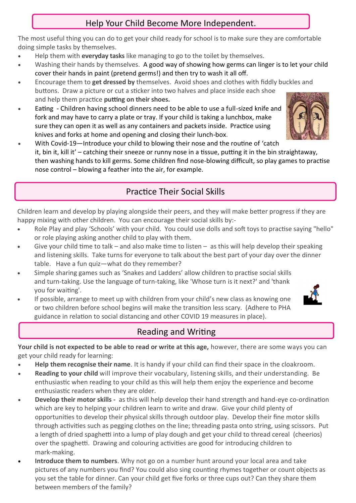### Help Your Child Become More Independent.

The most useful thing you can do to get your child ready for school is to make sure they are comfortable doing simple tasks by themselves.

- Help them with **everyday tasks** like managing to go to the toilet by themselves.
- Washing their hands by themselves. A good way of showing how germs can linger is to let your child cover their hands in paint (pretend germs!) and then try to wash it all off.
- Encourage them to **get dressed by** themselves. Avoid shoes and clothes with fiddly buckles and buttons. Draw a picture or cut a sticker into two halves and place inside each shoe and help them practice **putting on their shoes.**
- **Eating -** Children having school dinners need to be able to use a full-sized knife and fork and may have to carry a plate or tray. If your child is taking a lunchbox, make sure they can open it as well as any containers and packets inside. Practice using knives and forks at home and opening and closing their lunch-box.



 With Covid-19—Introduce your child to blowing their nose and the routine of 'catch it, bin it, kill it' – catching their sneeze or runny nose in a tissue, putting it in the bin straightaway, then washing hands to kill germs. Some children find nose-blowing difficult, so play games to practise nose control – blowing a feather into the air, for example.

# Practice Their Social Skills

Children learn and develop by playing alongside their peers, and they will make better progress if they are happy mixing with other children. You can encourage their social skills by:-

- Role Play and play 'Schools' with your child. You could use dolls and soft toys to practise saying "hello" or role playing asking another child to play with them.
- Give your child time to talk and also make time to listen as this will help develop their speaking and listening skills. Take turns for everyone to talk about the best part of your day over the dinner table. Have a fun quiz—what do they remember?
- Simple sharing games such as 'Snakes and Ladders' allow children to practise social skills and turn-taking. Use the language of turn-taking, like 'Whose turn is it next?' and 'thank you for waiting'.
- If possible, arrange to meet up with children from your child's new class as knowing one or two children before school begins will make the transition less scary. (Adhere to PHA guidance in relation to social distancing and other COVID 19 measures in place).

# Reading and Writing

**Your child is not expected to be able to read or write at this age,** however, there are some ways you can get your child ready for learning:

- **Help them recognise their name**. It is handy if your child can find their space in the cloakroom.
- **Reading to your child** will improve their vocabulary, listening skills, and their understanding. Be enthusiastic when reading to your child as this will help them enjoy the experience and become enthusiastic readers when they are older.
- **Develop their motor skills -** as this will help develop their hand strength and hand-eye co-ordination which are key to helping your children learn to write and draw. Give your child plenty of opportunities to develop their physical skills through outdoor play. Develop their fine motor skills through activities such as pegging clothes on the line; threading pasta onto string, using scissors. Put a length of dried spaghetti into a lump of play dough and get your child to thread cereal (cheerios) over the spaghetti. Drawing and colouring activities are good for introducing children to mark-making.
- **Introduce them to numbers**. Why not go on a number hunt around your local area and take pictures of any numbers you find? You could also sing counting rhymes together or count objects as you set the table for dinner. Can your child get five forks or three cups out? Can they share them between members of the family?